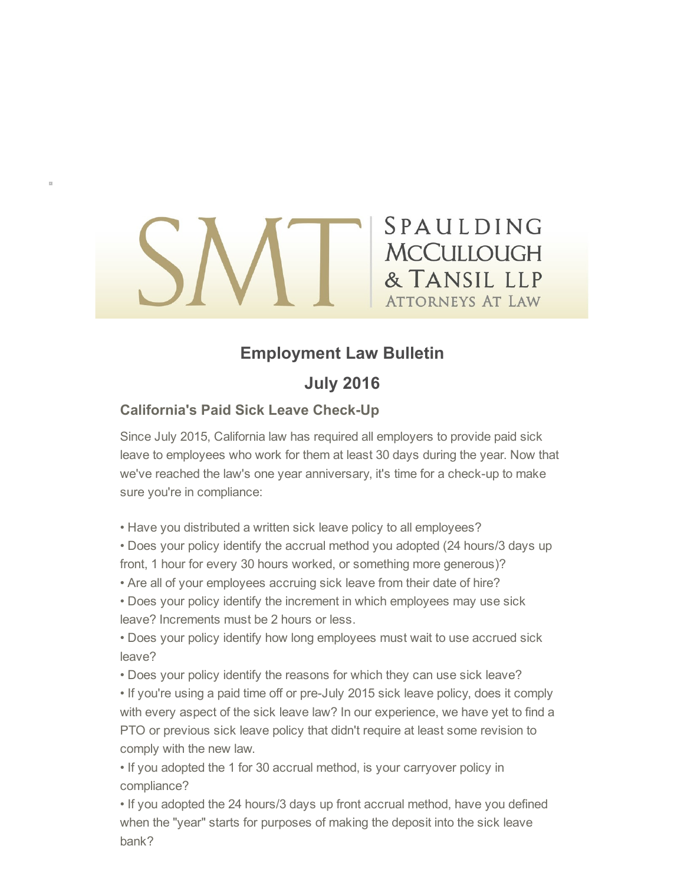# **SPALLLDING MCCULLOUGH** & TANSIL LLP **ATTORNEYS AT LAW**

## Employment Law Bulletin

### July 2016

### **California's Paid Sick Leave Check-Up**

Since July 2015, California law has required all employers to provide paid sick leave to employees who work for them at least 30 days during the year. Now that we've reached the law's one year anniversary, it's time for a check-up to make sure you're in compliance:

- Have you distributed a written sick leave policy to all employees?
- Does your policy identify the accrual method you adopted (24 hours/3 days up front, 1 hour for every 30 hours worked, or something more generous)?
- Are all of your employees accruing sick leave from their date of hire?
- Does your policy identify the increment in which employees may use sick leave? Increments must be 2 hours or less.
- Does your policy identify how long employees must wait to use accrued sick leave?
- Does your policy identify the reasons for which they can use sick leave?
- If you're using a paid time off or pre-July 2015 sick leave policy, does it comply with every aspect of the sick leave law? In our experience, we have yet to find a PTO or previous sick leave policy that didn't require at least some revision to comply with the new law.
- If you adopted the 1 for 30 accrual method, is your carryover policy in compliance?
- If you adopted the 24 hours/3 days up front accrual method, have you defined when the "year" starts for purposes of making the deposit into the sick leave bank?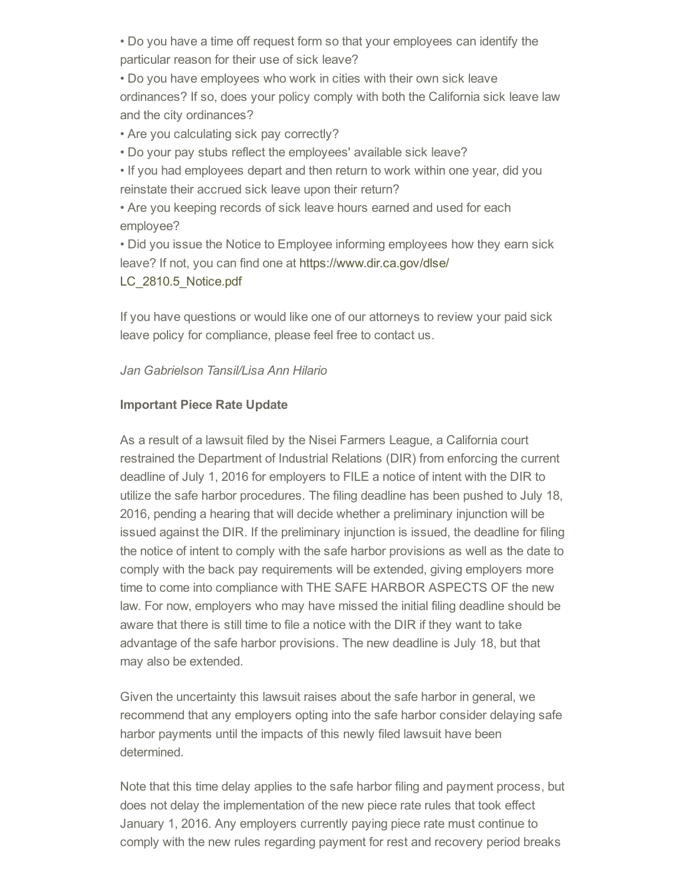• Do you have a time off request form so that your employees can identify the particular reason for their use of sick leave?

• Do you have employees who work in cities with their own sick leave ordinances? If so, does your policy comply with both the California sick leave law and the city ordinances?

• Are you calculating sick pay correctly?

• Do your pay stubs reflect the employees' available sick leave?

• If you had employees depart and then return to work within one year, did you reinstate their accrued sick leave upon their return?

• Are you keeping records of sick leave hours earned and used for each employee?

• Did you issue the Notice to Employee informing employees how they earn sick [leave? If not, you can find one at https://www.dir.ca.gov/dlse/](http://sable.madmimi.com/click?id=14345.23025.709.1.b6d1cbbb8499cb60a2dcec628b8183b8) LC\_2810.5\_Notice.pdf

If you have questions or would like one of our attorneys to review your paid sick leave policy for compliance, please feel free to contact us.

#### Jan Gabrielson Tansil/Lisa Ann Hilario

#### Important Piece Rate Update

As a result of a lawsuit filed by the Nisei Farmers League, a California court restrained the Department of Industrial Relations (DIR) from enforcing the current deadline of July 1, 2016 for employers to FILE a notice of intent with the DIR to utilize the safe harbor procedures. The filing deadline has been pushed to July 18, 2016, pending a hearing that will decide whether a preliminary injunction will be issued against the DIR. If the preliminary injunction is issued, the deadline for filing the notice of intent to comply with the safe harbor provisions as well as the date to comply with the back pay requirements will be extended, giving employers more time to come into compliance with THE SAFE HARBOR ASPECTS OF the new law. For now, employers who may have missed the initial filing deadline should be aware that there is still time to file a notice with the DIR if they want to take advantage of the safe harbor provisions. The new deadline is July 18, but that may also be extended.

Given the uncertainty this lawsuit raises about the safe harbor in general, we recommend that any employers opting into the safe harbor consider delaying safe harbor payments until the impacts of this newly filed lawsuit have been determined.

Note that this time delay applies to the safe harbor filing and payment process, but does not delay the implementation of the new piece rate rules that took effect January 1, 2016. Any employers currently paying piece rate must continue to comply with the new rules regarding payment for rest and recovery period breaks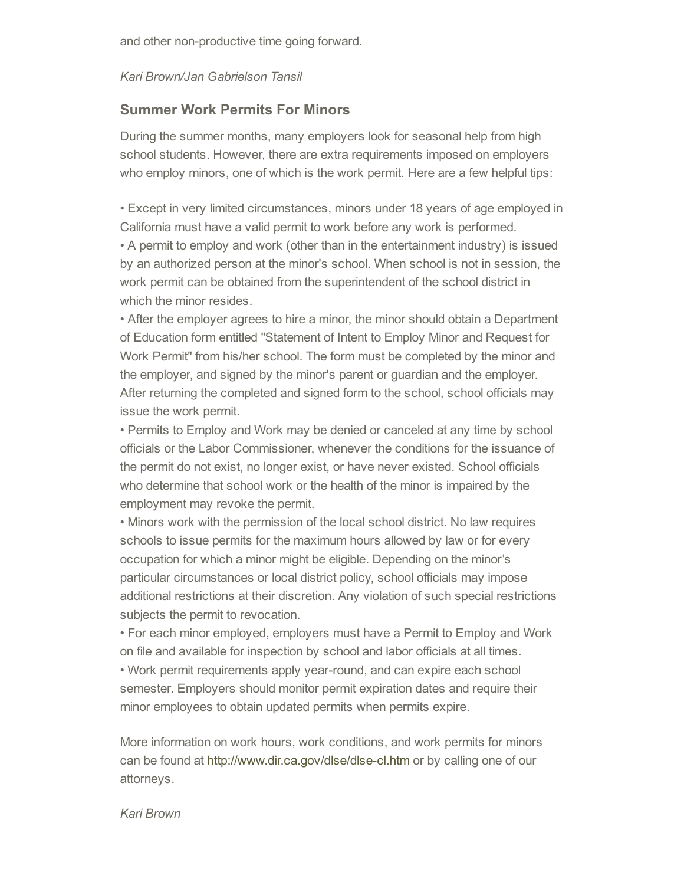and other non-productive time going forward.

#### Kari Brown/Jan Gabrielson Tansil

#### Summer Work Permits For Minors

During the summer months, many employers look for seasonal help from high school students. However, there are extra requirements imposed on employers who employ minors, one of which is the work permit. Here are a few helpful tips:

• Except in very limited circumstances, minors under 18 years of age employed in California must have a valid permit to work before any work is performed.

• A permit to employ and work (other than in the entertainment industry) is issued by an authorized person at the minor's school. When school is not in session, the work permit can be obtained from the superintendent of the school district in which the minor resides.

• After the employer agrees to hire a minor, the minor should obtain a Department of Education form entitled "Statement of Intent to Employ Minor and Request for Work Permit" from his/her school. The form must be completed by the minor and the employer, and signed by the minor's parent or guardian and the employer. After returning the completed and signed form to the school, school officials may issue the work permit.

• Permits to Employ and Work may be denied or canceled at any time by school officials or the Labor Commissioner, whenever the conditions for the issuance of the permit do not exist, no longer exist, or have never existed. School officials who determine that school work or the health of the minor is impaired by the employment may revoke the permit.

• Minors work with the permission of the local school district. No law requires schools to issue permits for the maximum hours allowed by law or for every occupation for which a minor might be eligible. Depending on the minor's particular circumstances or local district policy, school officials may impose additional restrictions at their discretion. Any violation of such special restrictions subjects the permit to revocation.

• For each minor employed, employers must have a Permit to Employ and Work on file and available for inspection by school and labor officials at all times.

• Work permit requirements apply year-round, and can expire each school semester. Employers should monitor permit expiration dates and require their minor employees to obtain updated permits when permits expire.

More information on work hours, work conditions, and work permits for minors can be found at http://www.dir.ca.gov/dlse/dlse-cl.htm or by calling one of our attorneys.

Kari Brown